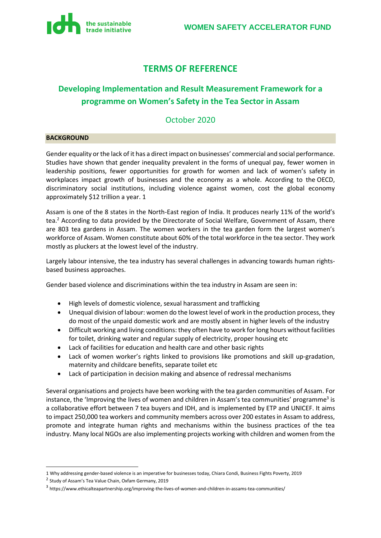

## **TERMS OF REFERENCE**

## **Developing Implementation and Result Measurement Framework for a programme on Women's Safety in the Tea Sector in Assam**

## October 2020

### **BACKGROUND**

Gender equality or the lack of it has a direct impact on businesses' commercial and social performance. Studies have shown that gender inequality prevalent in the forms of unequal pay, fewer women in leadership positions, fewer opportunities for growth for women and lack of women's safety in workplaces impact growth of businesses and the economy as a whole. According to the [OECD,](https://snipbfp.org/BFP153cc5) discriminatory social institutions, including violence against women, cost the global economy approximately \$12 trillion a year. 1

Assam is one of the 8 states in the North-East region of India. It produces nearly 11% of the world's tea.<sup>2</sup> According to data provided by the Directorate of Social Welfare, Government of Assam, there are 803 tea gardens in Assam. The women workers in the tea garden form the largest women's workforce of Assam. Women constitute about 60% of the total workforce in the tea sector. They work mostly as pluckers at the lowest level of the industry.

Largely labour intensive, the tea industry has several challenges in advancing towards human rightsbased business approaches.

Gender based violence and discriminations within the tea industry in Assam are seen in:

- High levels of domestic violence, sexual harassment and trafficking
- Unequal division of labour: women do the lowest level of work in the production process, they do most of the unpaid domestic work and are mostly absent in higher levels of the industry
- Difficult working and living conditions: they often have to work for long hours without facilities for toilet, drinking water and regular supply of electricity, proper housing etc
- Lack of facilities for education and health care and other basic rights
- Lack of women worker's rights linked to provisions like promotions and skill up-gradation, maternity and childcare benefits, separate toilet etc
- Lack of participation in decision making and absence of redressal mechanisms

Several organisations and projects have been working with the tea garden communities of Assam. For instance, the 'Improving the lives of women and children in Assam's tea communities' programme<sup>3</sup> is a collaborative effort between 7 tea buyers and IDH, and is implemented by ETP and UNICEF. It aims to impact 250,000 tea workers and community members across over 200 estates in Assam to address, promote and integrate human rights and mechanisms within the business practices of the tea industry. Many local NGOs are also implementing projects working with children and women from the

<sup>1</sup> Why addressing gender-based violence is an imperative for businesses today, Chiara Condi, Business Fights Poverty, 2019

<sup>&</sup>lt;sup>2</sup> Study of Assam's Tea Value Chain, Oxfam Germany, 2019

<sup>&</sup>lt;sup>3</sup> https://www.ethicalteapartnership.org/improving-the-lives-of-women-and-children-in-assams-tea-communities/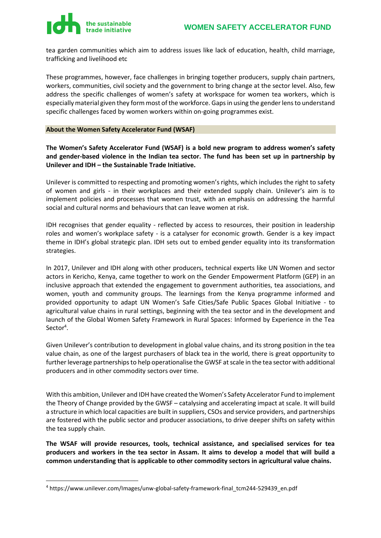tea garden communities which aim to address issues like lack of education, health, child marriage, trafficking and livelihood etc

These programmes, however, face challenges in bringing together producers, supply chain partners, workers, communities, civil society and the government to bring change at the sector level. Also, few address the specific challenges of women's safety at workspace for women tea workers, which is especially material given they form most of the workforce. Gaps in using the gender lens to understand specific challenges faced by women workers within on-going programmes exist.

#### **About the Women Safety Accelerator Fund (WSAF)**

**The Women's Safety Accelerator Fund (WSAF) is a bold new program to address women's safety and gender-based violence in the Indian tea sector. The fund has been set up in partnership by Unilever and IDH – the Sustainable Trade Initiative.**

Unilever is committed to respecting and promoting women's rights, which includes the right to safety of women and girls - in their workplaces and their extended supply chain. Unilever's aim is to implement policies and processes that women trust, with an emphasis on addressing the harmful social and cultural norms and behaviours that can leave women at risk.

IDH recognises that gender equality - reflected by access to resources, their position in leadership roles and women's workplace safety - is a catalyser for economic growth. Gender is a key impact theme in IDH's global strategic plan. IDH sets out to embed gender equality into its transformation strategies.

In 2017, Unilever and IDH along with other producers, technical experts like UN Women and sector actors in Kericho, Kenya, came together to work on the Gender Empowerment Platform (GEP) in an inclusive approach that extended the engagement to government authorities, tea associations, and women, youth and community groups. The learnings from the Kenya programme informed and provided opportunity to adapt UN Women's Safe Cities/Safe Public Spaces Global Initiative - to agricultural value chains in rural settings, beginning with the tea sector and in the development and launch of the Global Women Safety Framework in Rural Spaces: Informed by Experience in the Tea Sector<sup>4</sup>.

Given Unilever's contribution to development in global value chains, and its strong position in the tea value chain, as one of the largest purchasers of black tea in the world, there is great opportunity to further leverage partnerships to help operationalise the GWSF at scale in the tea sector with additional producers and in other commodity sectors over time.

With this ambition, Unilever and IDH have created the Women's Safety Accelerator Fund to implement the Theory of Change provided by the GWSF – catalysing and accelerating impact at scale. It will build a structure in which local capacities are built in suppliers, CSOs and service providers, and partnerships are fostered with the public sector and producer associations, to drive deeper shifts on safety within the tea supply chain.

**The WSAF will provide resources, tools, technical assistance, and specialised services for tea producers and workers in the tea sector in Assam. It aims to develop a model that will build a common understanding that is applicable to other commodity sectors in agricultural value chains.** 

<sup>4</sup> https://www.unilever.com/Images/unw-global-safety-framework-final\_tcm244-529439\_en.pdf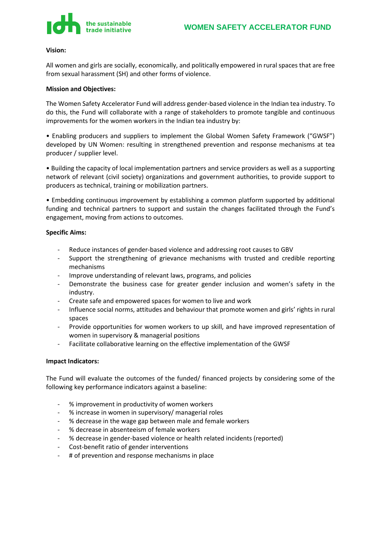

#### **Vision:**

All women and girls are socially, economically, and politically empowered in rural spaces that are free from sexual harassment (SH) and other forms of violence.

#### **Mission and Objectives:**

The Women Safety Accelerator Fund will address gender-based violence in the Indian tea industry. To do this, the Fund will collaborate with a range of stakeholders to promote tangible and continuous improvements for the women workers in the Indian tea industry by:

• Enabling producers and suppliers to implement the Global Women Safety Framework ("GWSF") developed by UN Women: resulting in strengthened prevention and response mechanisms at tea producer / supplier level.

• Building the capacity of local implementation partners and service providers as well as a supporting network of relevant (civil society) organizations and government authorities, to provide support to producers as technical, training or mobilization partners.

• Embedding continuous improvement by establishing a common platform supported by additional funding and technical partners to support and sustain the changes facilitated through the Fund's engagement, moving from actions to outcomes.

#### **Specific Aims:**

- Reduce instances of gender-based violence and addressing root causes to GBV
- Support the strengthening of grievance mechanisms with trusted and credible reporting mechanisms
- Improve understanding of relevant laws, programs, and policies
- Demonstrate the business case for greater gender inclusion and women's safety in the industry.
- Create safe and empowered spaces for women to live and work
- Influence social norms, attitudes and behaviour that promote women and girls' rights in rural spaces
- Provide opportunities for women workers to up skill, and have improved representation of women in supervisory & managerial positions
- Facilitate collaborative learning on the effective implementation of the GWSF

#### **Impact Indicators:**

The Fund will evaluate the outcomes of the funded/ financed projects by considering some of the following key performance indicators against a baseline:

- % improvement in productivity of women workers
- % increase in women in supervisory/ managerial roles
- % decrease in the wage gap between male and female workers
- % decrease in absenteeism of female workers
- % decrease in gender-based violence or health related incidents (reported)
- Cost-benefit ratio of gender interventions
- # of prevention and response mechanisms in place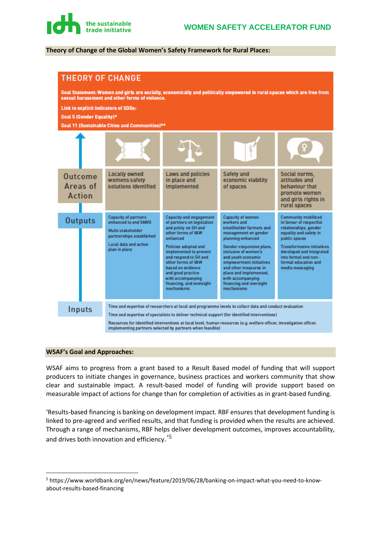#### **Theory of Change of the Global Women's Safety Framework for Rural Places:**



#### **WSAF's Goal and Approaches:**

WSAF aims to progress from a grant based to a Result Based model of funding that will support producers to initiate changes in governance, business practices and workers community that show clear and sustainable impact. A result-based model of funding will provide support based on measurable impact of actions for change than for completion of activities as in grant-based funding.

'[Results-based financing is banking on development impact.](https://www.worldbank.org/en/news/feature/2019/06/28/banking-on-impact-what-you-need-to-know-about-results-based-financing) RBF ensures that development funding is linked to pre-agreed and verified results, and that funding is provided when the results are achieved. Through a range of mechanisms, RBF helps deliver development outcomes, improves accountability, and drives both [innovation and efficiency](https://www.gprba.org/knowledge/multimedia/video-global-partnership-results-based-approaches).<sup>'5</sup>

<sup>5</sup> https://www.worldbank.org/en/news/feature/2019/06/28/banking-on-impact-what-you-need-to-knowabout-results-based-financing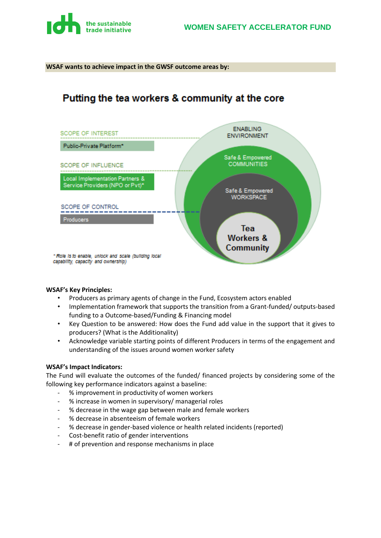

#### **WSAF wants to achieve impact in the GWSF outcome areas by:**

## Putting the tea workers & community at the core



#### **WSAF's Key Principles:**

- Producers as primary agents of change in the Fund, Ecosystem actors enabled
- Implementation framework that supports the transition from a Grant-funded/ outputs-based funding to a Outcome-based/Funding & Financing model
- Key Question to be answered: How does the Fund add value in the support that it gives to producers? (What is the Additionality)
- Acknowledge variable starting points of different Producers in terms of the engagement and understanding of the issues around women worker safety

#### **WSAF's Impact Indicators:**

The Fund will evaluate the outcomes of the funded/ financed projects by considering some of the following key performance indicators against a baseline:

- % improvement in productivity of women workers
- % increase in women in supervisory/ managerial roles
- % decrease in the wage gap between male and female workers
- % decrease in absenteeism of female workers
- % decrease in gender-based violence or health related incidents (reported)
- Cost-benefit ratio of gender interventions
- # of prevention and response mechanisms in place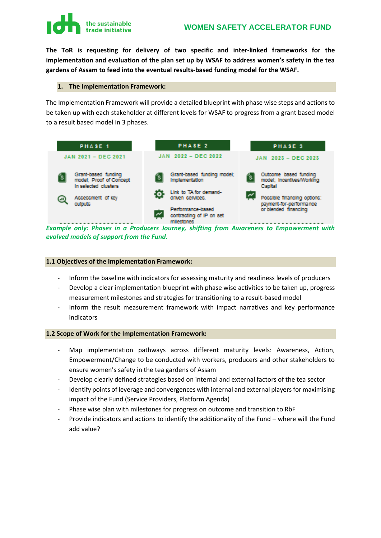# **The sustainable<br>
trade initiative WOMEN SAFETY ACCELERATOR FUND**

**The ToR is requesting for delivery of two specific and inter-linked frameworks for the implementation and evaluation of the plan set up by WSAF to address women's safety in the tea gardens of Assam to feed into the eventual results-based funding model for the WSAF.**

#### **1. The Implementation Framework:**

The Implementation Framework will provide a detailed blueprint with phase wise steps and actions to be taken up with each stakeholder at different levels for WSAF to progress from a grant based model to a result based model in 3 phases.



*Example only: Phases in a Producers Journey, shifting from Awareness to Empowerment with evolved models of support from the Fund.*

#### **1.1 Objectives of the Implementation Framework:**

- Inform the baseline with indicators for assessing maturity and readiness levels of producers
- Develop a clear implementation blueprint with phase wise activities to be taken up, progress measurement milestones and strategies for transitioning to a result-based model
- Inform the result measurement framework with impact narratives and key performance indicators

#### **1.2 Scope of Work for the Implementation Framework:**

- Map implementation pathways across different maturity levels: Awareness, Action, Empowerment/Change to be conducted with workers, producers and other stakeholders to ensure women's safety in the tea gardens of Assam
- Develop clearly defined strategies based on internal and external factors of the tea sector
- Identify points of leverage and convergences with internal and external players for maximising impact of the Fund (Service Providers, Platform Agenda)
- Phase wise plan with milestones for progress on outcome and transition to RbF
- Provide indicators and actions to identify the additionality of the Fund where will the Fund add value?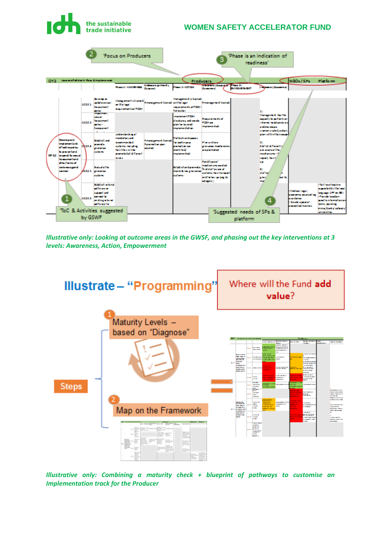

*Illustrative only: Looking at outcome areas in the GWSF, and phasing out the key interventions at 3 levels: Awareness, Action, Empowerment*



*Illustrative only: Combining a maturity check + blueprint of pathways to customise an Implementation track for the Producer*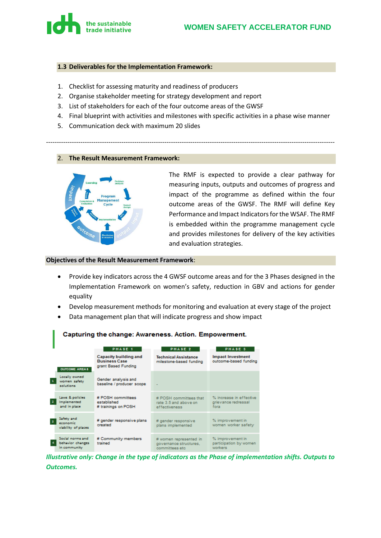

#### **1.3 Deliverables for the Implementation Framework:**

- 1. Checklist for assessing maturity and readiness of producers
- 2. Organise stakeholder meeting for strategy development and report
- 3. List of stakeholders for each of the four outcome areas of the GWSF
- 4. Final blueprint with activities and milestones with specific activities in a phase wise manner

--------------------------------------------------------------------------------------------------------------------------------------

5. Communication deck with maximum 20 slides

#### 2. **The Result Measurement Framework:**



п

The RMF is expected to provide a clear pathway for measuring inputs, outputs and outcomes of progress and impact of the programme as defined within the four outcome areas of the GWSF. The RMF will define Key Performance and Impact Indicators for the WSAF. The RMF is embedded within the programme management cycle and provides milestones for delivery of the key activities and evaluation strategies.

#### **Objectives of the Result Measurement Framework**:

- Provide key indicators across the 4 GWSF outcome areas and for the 3 Phases designed in the Implementation Framework on women's safety, reduction in GBV and actions for gender equality
- Develop measurement methods for monitoring and evaluation at every stage of the project
- Data management plan that will indicate progress and show impact

|                                                      | PHASE 1                                                              | PHASE 2                                                             | PHASE 3                                                |  |
|------------------------------------------------------|----------------------------------------------------------------------|---------------------------------------------------------------------|--------------------------------------------------------|--|
| <b>OUTCOME AREA 8</b>                                | Capacity building and<br><b>Business Case</b><br>grant Based Funding | <b>Technical Assistance</b><br>milestone-based funding              | <b>Impact Investment</b><br>outcome-based funding      |  |
| Locally owned<br>women safety<br>solutions           | Gender analysis and<br>baseline / producer scope                     |                                                                     |                                                        |  |
| Laws & policies<br>Implemented<br>and in place.      | # POSH committees<br>established<br># trainings on POSH              | # POSH committees that<br>rate 3.5 and above on<br>effectiveness    | % increase in effective<br>grievance redressal<br>fora |  |
| Safety and<br>-3<br>economic<br>viability of places  | # gender responsive plans<br>created                                 | # gender responsive<br>plans implemented                            | % improvement in<br>women worker safety                |  |
| Social norms and<br>behavior changes<br>in community | # Community members<br>trained                                       | # women represented in<br>governance structures.<br>committees etc. | % improvement in<br>participation by women<br>workers. |  |

#### Capturing the change: Awareness, Action, Empowerment,

*Illustrative only: Change in the type of indicators as the Phase of implementation shifts. Outputs to Outcomes.*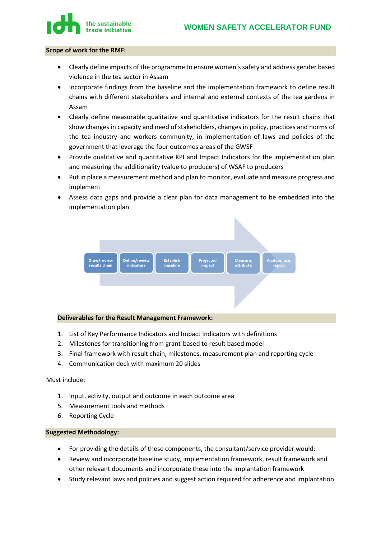

#### **Scope of work for the RMF:**

- Clearly define impacts of the programme to ensure women's safety and address gender based violence in the tea sector in Assam
- Incorporate findings from the baseline and the implementation framework to define result chains with different stakeholders and internal and external contexts of the tea gardens in Assam
- Clearly define measurable qualitative and quantitative indicators for the result chains that show changes in capacity and need of stakeholders, changes in policy, practices and norms of the tea industry and workers community, in implementation of laws and policies of the government that leverage the four outcomes areas of the GWSF
- Provide qualitative and quantitative KPI and Impact Indicators for the implementation plan and measuring the additionality (value to producers) of WSAF to producers
- Put in place a measurement method and plan to monitor, evaluate and measure progress and implement
- Assess data gaps and provide a clear plan for data management to be embedded into the implementation plan



#### **Deliverables for the Result Management Framework:**

- 1. List of Key Performance Indicators and Impact Indicators with definitions
- 2. Milestones for transitioning from grant-based to result based model
- 3. Final framework with result chain, milestones, measurement plan and reporting cycle
- 4. Communication deck with maximum 20 slides

#### Must include:

- 1. Input, activity, output and outcome in each outcome area
- 5. Measurement tools and methods
- 6. Reporting Cycle

#### **Suggested Methodology:**

- For providing the details of these components, the consultant/service provider would:
- Review and incorporate baseline study, implementation framework, result framework and other relevant documents and incorporate these into the implantation framework
- Study relevant laws and policies and suggest action required for adherence and implantation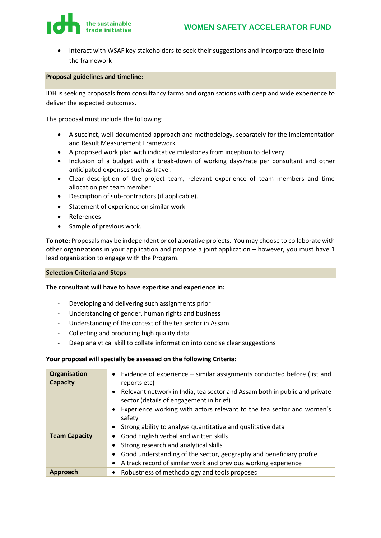

• Interact with WSAF key stakeholders to seek their suggestions and incorporate these into the framework

#### **Proposal guidelines and timeline:**

IDH is seeking proposals from consultancy farms and organisations with deep and wide experience to deliver the expected outcomes.

The proposal must include the following:

- A succinct, well-documented approach and methodology, separately for the Implementation and Result Measurement Framework
- A proposed work plan with indicative milestones from inception to delivery
- Inclusion of a budget with a break-down of working days/rate per consultant and other anticipated expenses such as travel.
- Clear description of the project team, relevant experience of team members and time allocation per team member
- Description of sub-contractors (if applicable).
- Statement of experience on similar work
- References
- Sample of previous work.

**To note:** Proposals may be independent or collaborative projects. You may choose to collaborate with other organizations in your application and propose a joint application – however, you must have 1 lead organization to engage with the Program.

#### **Selection Criteria and Steps**

#### **The consultant will have to have expertise and experience in:**

- Developing and delivering such assignments prior
- Understanding of gender, human rights and business
- Understanding of the context of the tea sector in Assam
- Collecting and producing high quality data
- Deep analytical skill to collate information into concise clear suggestions

#### **Your proposal will specially be assessed on the following Criteria:**

| <b>Organisation</b><br><b>Capacity</b> | • Evidence of experience – similar assignments conducted before (list and<br>reports etc)<br>• Relevant network in India, tea sector and Assam both in public and private<br>sector (details of engagement in brief)<br>• Experience working with actors relevant to the tea sector and women's<br>safety |
|----------------------------------------|-----------------------------------------------------------------------------------------------------------------------------------------------------------------------------------------------------------------------------------------------------------------------------------------------------------|
|                                        | • Strong ability to analyse quantitative and qualitative data                                                                                                                                                                                                                                             |
| <b>Team Capacity</b>                   | • Good English verbal and written skills                                                                                                                                                                                                                                                                  |
|                                        | • Strong research and analytical skills                                                                                                                                                                                                                                                                   |
|                                        | Good understanding of the sector, geography and beneficiary profile<br>$\bullet$                                                                                                                                                                                                                          |
|                                        | A track record of similar work and previous working experience<br>$\bullet$                                                                                                                                                                                                                               |
| Approach                               | • Robustness of methodology and tools proposed                                                                                                                                                                                                                                                            |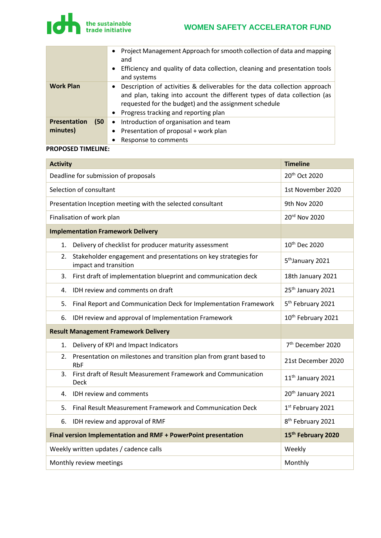

|                             | Project Management Approach for smooth collection of data and mapping<br>٠<br>and<br>Efficiency and quality of data collection, cleaning and presentation tools<br>$\bullet$<br>and systems                                                                           |
|-----------------------------|-----------------------------------------------------------------------------------------------------------------------------------------------------------------------------------------------------------------------------------------------------------------------|
| <b>Work Plan</b>            | Description of activities & deliverables for the data collection approach<br>$\bullet$<br>and plan, taking into account the different types of data collection (as<br>requested for the budget) and the assignment schedule<br>• Progress tracking and reporting plan |
| (50)<br><b>Presentation</b> | • Introduction of organisation and team                                                                                                                                                                                                                               |
| minutes)                    | Presentation of proposal + work plan<br>$\bullet$                                                                                                                                                                                                                     |
|                             | Response to comments                                                                                                                                                                                                                                                  |

#### **PROPOSED TIMELINE:**

| <b>Activity</b>                                                                               | <b>Timeline</b>                |
|-----------------------------------------------------------------------------------------------|--------------------------------|
| Deadline for submission of proposals                                                          | 20 <sup>th</sup> Oct 2020      |
| Selection of consultant                                                                       | 1st November 2020              |
| Presentation Inception meeting with the selected consultant                                   | 9th Nov 2020                   |
| Finalisation of work plan                                                                     | 20rd Nov 2020                  |
| <b>Implementation Framework Delivery</b>                                                      |                                |
| Delivery of checklist for producer maturity assessment<br>1.                                  | 10 <sup>th</sup> Dec 2020      |
| Stakeholder engagement and presentations on key strategies for<br>2.<br>impact and transition | 5 <sup>th</sup> January 2021   |
| First draft of implementation blueprint and communication deck<br>3.                          | 18th January 2021              |
| IDH review and comments on draft<br>4.                                                        | 25 <sup>th</sup> January 2021  |
| Final Report and Communication Deck for Implementation Framework<br>5.                        | 5 <sup>th</sup> February 2021  |
| IDH review and approval of Implementation Framework<br>6.                                     | 10 <sup>th</sup> February 2021 |
| <b>Result Management Framework Delivery</b>                                                   |                                |
| Delivery of KPI and Impact Indicators<br>1.                                                   | 7 <sup>th</sup> December 2020  |
| Presentation on milestones and transition plan from grant based to<br>2.<br><b>RbF</b>        | 21st December 2020             |
| First draft of Result Measurement Framework and Communication<br>3.<br><b>Deck</b>            | 11 <sup>th</sup> January 2021  |
| 4.<br>IDH review and comments                                                                 | 20 <sup>th</sup> January 2021  |
| Final Result Measurement Framework and Communication Deck<br>5.                               | 1st February 2021              |
| IDH review and approval of RMF<br>6.                                                          | 8 <sup>th</sup> February 2021  |
| Final version Implementation and RMF + PowerPoint presentation                                | 15 <sup>th</sup> February 2020 |
| Weekly written updates / cadence calls                                                        | Weekly                         |
| Monthly review meetings                                                                       | Monthly                        |